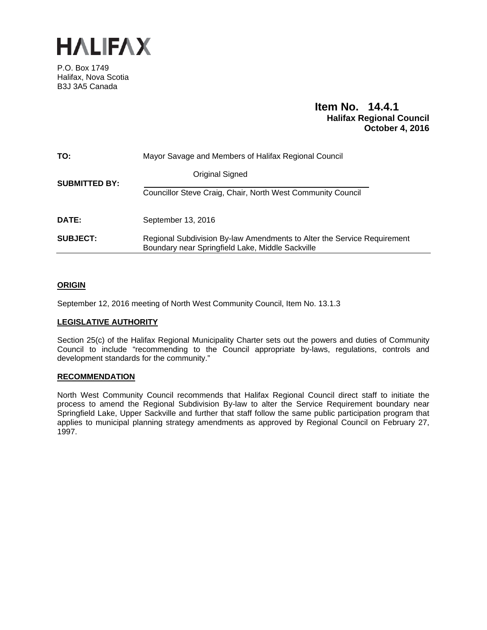

P.O. Box 1749 Halifax, Nova Scotia B3J 3A5 Canada

# **Item No. 14.4.1 Halifax Regional Council October 4, 2016**

| TO:                  | Mayor Savage and Members of Halifax Regional Council                                                                        |
|----------------------|-----------------------------------------------------------------------------------------------------------------------------|
| <b>SUBMITTED BY:</b> | Original Signed                                                                                                             |
|                      | Councillor Steve Craig, Chair, North West Community Council                                                                 |
| DATE:                | September 13, 2016                                                                                                          |
| <b>SUBJECT:</b>      | Regional Subdivision By-law Amendments to Alter the Service Requirement<br>Boundary near Springfield Lake, Middle Sackville |

# **ORIGIN**

September 12, 2016 meeting of North West Community Council, Item No. 13.1.3

## **LEGISLATIVE AUTHORITY**

Section 25(c) of the Halifax Regional Municipality Charter sets out the powers and duties of Community Council to include "recommending to the Council appropriate by-laws, regulations, controls and development standards for the community."

## **RECOMMENDATION**

North West Community Council recommends that Halifax Regional Council direct staff to initiate the process to amend the Regional Subdivision By-law to alter the Service Requirement boundary near Springfield Lake, Upper Sackville and further that staff follow the same public participation program that applies to municipal planning strategy amendments as approved by Regional Council on February 27, 1997.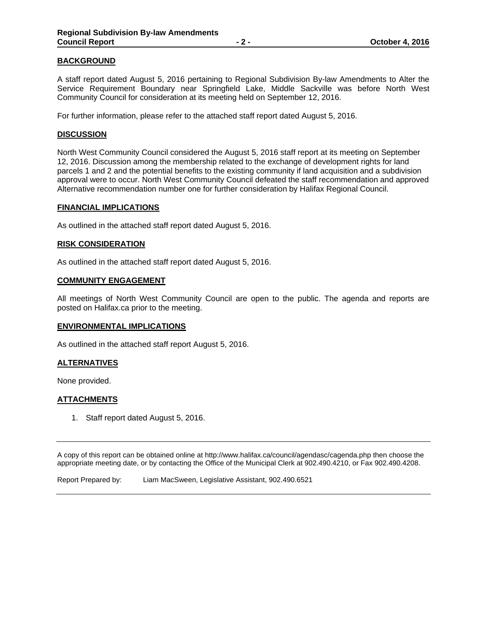# **BACKGROUND**

A staff report dated August 5, 2016 pertaining to Regional Subdivision By-law Amendments to Alter the Service Requirement Boundary near Springfield Lake, Middle Sackville was before North West Community Council for consideration at its meeting held on September 12, 2016.

For further information, please refer to the attached staff report dated August 5, 2016.

### **DISCUSSION**

North West Community Council considered the August 5, 2016 staff report at its meeting on September 12, 2016. Discussion among the membership related to the exchange of development rights for land parcels 1 and 2 and the potential benefits to the existing community if land acquisition and a subdivision approval were to occur. North West Community Council defeated the staff recommendation and approved Alternative recommendation number one for further consideration by Halifax Regional Council.

#### **FINANCIAL IMPLICATIONS**

As outlined in the attached staff report dated August 5, 2016.

#### **RISK CONSIDERATION**

As outlined in the attached staff report dated August 5, 2016.

### **COMMUNITY ENGAGEMENT**

All meetings of North West Community Council are open to the public. The agenda and reports are posted on Halifax.ca prior to the meeting.

#### **ENVIRONMENTAL IMPLICATIONS**

As outlined in the attached staff report August 5, 2016.

## **ALTERNATIVES**

None provided.

# **ATTACHMENTS**

1. Staff report dated August 5, 2016.

A copy of this report can be obtained online at http://www.halifax.ca/council/agendasc/cagenda.php then choose the appropriate meeting date, or by contacting the Office of the Municipal Clerk at 902.490.4210, or Fax 902.490.4208.

Report Prepared by: Liam MacSween, Legislative Assistant, 902.490.6521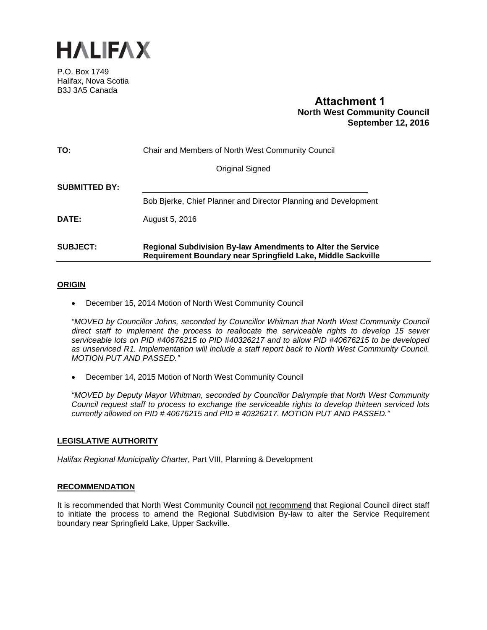

P.O. Box 1749 Halifax, Nova Scotia B3J 3A5 Canada

# **Attachment 1 North West Community Council September 12, 2016**

| TO:                  | Chair and Members of North West Community Council                                                                                  |
|----------------------|------------------------------------------------------------------------------------------------------------------------------------|
|                      | Original Signed                                                                                                                    |
| <b>SUBMITTED BY:</b> |                                                                                                                                    |
|                      | Bob Bjerke, Chief Planner and Director Planning and Development                                                                    |
| DATE:                | August 5, 2016                                                                                                                     |
| <b>SUBJECT:</b>      | <b>Regional Subdivision By-law Amendments to Alter the Service</b><br>Requirement Boundary near Springfield Lake, Middle Sackville |

# **ORIGIN**

December 15, 2014 Motion of North West Community Council

*"MOVED by Councillor Johns, seconded by Councillor Whitman that North West Community Council direct staff to implement the process to reallocate the serviceable rights to develop 15 sewer serviceable lots on PID #40676215 to PID #40326217 and to allow PID #40676215 to be developed as unserviced R1. Implementation will include a staff report back to North West Community Council. MOTION PUT AND PASSED."* 

December 14, 2015 Motion of North West Community Council

*"MOVED by Deputy Mayor Whitman, seconded by Councillor Dalrymple that North West Community Council request staff to process to exchange the serviceable rights to develop thirteen serviced lots currently allowed on PID # 40676215 and PID # 40326217. MOTION PUT AND PASSED."* 

# **LEGISLATIVE AUTHORITY**

*Halifax Regional Municipality Charter*, Part VIII, Planning & Development

## **RECOMMENDATION**

It is recommended that North West Community Council not recommend that Regional Council direct staff to initiate the process to amend the Regional Subdivision By-law to alter the Service Requirement boundary near Springfield Lake, Upper Sackville.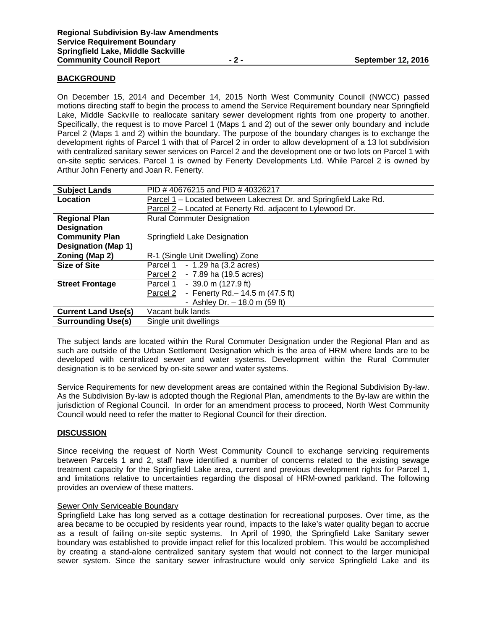## **BACKGROUND**

On December 15, 2014 and December 14, 2015 North West Community Council (NWCC) passed motions directing staff to begin the process to amend the Service Requirement boundary near Springfield Lake, Middle Sackville to reallocate sanitary sewer development rights from one property to another. Specifically, the request is to move Parcel 1 (Maps 1 and 2) out of the sewer only boundary and include Parcel 2 (Maps 1 and 2) within the boundary. The purpose of the boundary changes is to exchange the development rights of Parcel 1 with that of Parcel 2 in order to allow development of a 13 lot subdivision with centralized sanitary sewer services on Parcel 2 and the development one or two lots on Parcel 1 with on-site septic services. Parcel 1 is owned by Fenerty Developments Ltd. While Parcel 2 is owned by Arthur John Fenerty and Joan R. Fenerty.

| <b>Subject Lands</b>       | PID #40676215 and PID #40326217                                   |
|----------------------------|-------------------------------------------------------------------|
| Location                   | Parcel 1 - Located between Lakecrest Dr. and Springfield Lake Rd. |
|                            | Parcel 2 – Located at Fenerty Rd. adjacent to Lylewood Dr.        |
| <b>Regional Plan</b>       | <b>Rural Commuter Designation</b>                                 |
| <b>Designation</b>         |                                                                   |
| <b>Community Plan</b>      | Springfield Lake Designation                                      |
| <b>Designation (Map 1)</b> |                                                                   |
| Zoning (Map 2)             | R-1 (Single Unit Dwelling) Zone                                   |
| <b>Size of Site</b>        | $-1.29$ ha $(3.2$ acres)<br>Parcel 1                              |
|                            | - 7.89 ha (19.5 acres)<br>Parcel 2                                |
| <b>Street Frontage</b>     | $-39.0$ m (127.9 ft)<br>Parcel 1                                  |
|                            | - Fenerty Rd. - 14.5 m (47.5 ft)<br>Parcel 2                      |
|                            | - Ashley Dr. $-$ 18.0 m (59 ft)                                   |
| <b>Current Land Use(s)</b> | Vacant bulk lands                                                 |
| <b>Surrounding Use(s)</b>  | Single unit dwellings                                             |

The subject lands are located within the Rural Commuter Designation under the Regional Plan and as such are outside of the Urban Settlement Designation which is the area of HRM where lands are to be developed with centralized sewer and water systems. Development within the Rural Commuter designation is to be serviced by on-site sewer and water systems.

Service Requirements for new development areas are contained within the Regional Subdivision By-law. As the Subdivision By-law is adopted though the Regional Plan, amendments to the By-law are within the jurisdiction of Regional Council. In order for an amendment process to proceed, North West Community Council would need to refer the matter to Regional Council for their direction.

## **DISCUSSION**

Since receiving the request of North West Community Council to exchange servicing requirements between Parcels 1 and 2, staff have identified a number of concerns related to the existing sewage treatment capacity for the Springfield Lake area, current and previous development rights for Parcel 1, and limitations relative to uncertainties regarding the disposal of HRM-owned parkland. The following provides an overview of these matters.

#### Sewer Only Serviceable Boundary

Springfield Lake has long served as a cottage destination for recreational purposes. Over time, as the area became to be occupied by residents year round, impacts to the lake's water quality began to accrue as a result of failing on-site septic systems. In April of 1990, the Springfield Lake Sanitary sewer boundary was established to provide impact relief for this localized problem. This would be accomplished by creating a stand-alone centralized sanitary system that would not connect to the larger municipal sewer system. Since the sanitary sewer infrastructure would only service Springfield Lake and its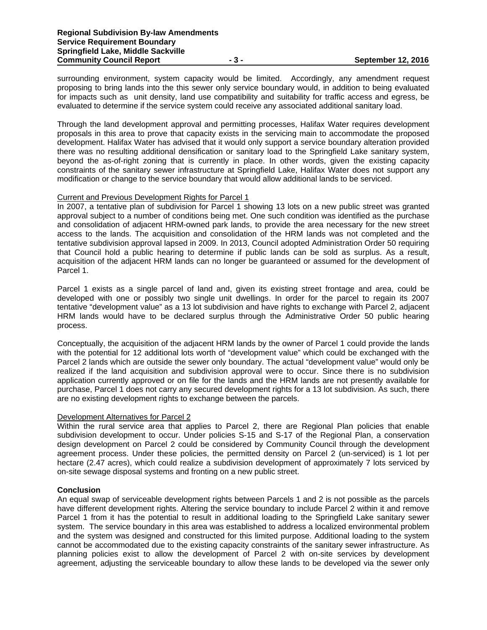surrounding environment, system capacity would be limited. Accordingly, any amendment request proposing to bring lands into the this sewer only service boundary would, in addition to being evaluated for impacts such as unit density, land use compatibility and suitability for traffic access and egress, be evaluated to determine if the service system could receive any associated additional sanitary load.

Through the land development approval and permitting processes, Halifax Water requires development proposals in this area to prove that capacity exists in the servicing main to accommodate the proposed development. Halifax Water has advised that it would only support a service boundary alteration provided there was no resulting additional densification or sanitary load to the Springfield Lake sanitary system, beyond the as-of-right zoning that is currently in place. In other words, given the existing capacity constraints of the sanitary sewer infrastructure at Springfield Lake, Halifax Water does not support any modification or change to the service boundary that would allow additional lands to be serviced.

#### Current and Previous Development Rights for Parcel 1

In 2007, a tentative plan of subdivision for Parcel 1 showing 13 lots on a new public street was granted approval subject to a number of conditions being met. One such condition was identified as the purchase and consolidation of adjacent HRM-owned park lands, to provide the area necessary for the new street access to the lands. The acquisition and consolidation of the HRM lands was not completed and the tentative subdivision approval lapsed in 2009. In 2013, Council adopted Administration Order 50 requiring that Council hold a public hearing to determine if public lands can be sold as surplus. As a result, acquisition of the adjacent HRM lands can no longer be guaranteed or assumed for the development of Parcel 1.

Parcel 1 exists as a single parcel of land and, given its existing street frontage and area, could be developed with one or possibly two single unit dwellings. In order for the parcel to regain its 2007 tentative "development value" as a 13 lot subdivision and have rights to exchange with Parcel 2, adjacent HRM lands would have to be declared surplus through the Administrative Order 50 public hearing process.

Conceptually, the acquisition of the adjacent HRM lands by the owner of Parcel 1 could provide the lands with the potential for 12 additional lots worth of "development value" which could be exchanged with the Parcel 2 lands which are outside the sewer only boundary. The actual "development value" would only be realized if the land acquisition and subdivision approval were to occur. Since there is no subdivision application currently approved or on file for the lands and the HRM lands are not presently available for purchase, Parcel 1 does not carry any secured development rights for a 13 lot subdivision. As such, there are no existing development rights to exchange between the parcels.

#### Development Alternatives for Parcel 2

Within the rural service area that applies to Parcel 2, there are Regional Plan policies that enable subdivision development to occur. Under policies S-15 and S-17 of the Regional Plan, a conservation design development on Parcel 2 could be considered by Community Council through the development agreement process. Under these policies, the permitted density on Parcel 2 (un-serviced) is 1 lot per hectare (2.47 acres), which could realize a subdivision development of approximately 7 lots serviced by on-site sewage disposal systems and fronting on a new public street.

## **Conclusion**

An equal swap of serviceable development rights between Parcels 1 and 2 is not possible as the parcels have different development rights. Altering the service boundary to include Parcel 2 within it and remove Parcel 1 from it has the potential to result in additional loading to the Springfield Lake sanitary sewer system. The service boundary in this area was established to address a localized environmental problem and the system was designed and constructed for this limited purpose. Additional loading to the system cannot be accommodated due to the existing capacity constraints of the sanitary sewer infrastructure. As planning policies exist to allow the development of Parcel 2 with on-site services by development agreement, adjusting the serviceable boundary to allow these lands to be developed via the sewer only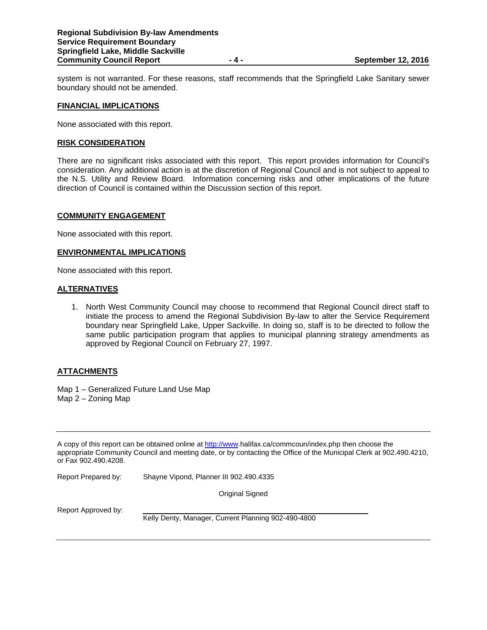system is not warranted. For these reasons, staff recommends that the Springfield Lake Sanitary sewer boundary should not be amended.

#### **FINANCIAL IMPLICATIONS**

None associated with this report.

#### **RISK CONSIDERATION**

There are no significant risks associated with this report. This report provides information for Council's consideration. Any additional action is at the discretion of Regional Council and is not subject to appeal to the N.S. Utility and Review Board. Information concerning risks and other implications of the future direction of Council is contained within the Discussion section of this report.

#### **COMMUNITY ENGAGEMENT**

None associated with this report.

#### **ENVIRONMENTAL IMPLICATIONS**

None associated with this report.

#### **ALTERNATIVES**

1. North West Community Council may choose to recommend that Regional Council direct staff to initiate the process to amend the Regional Subdivision By-law to alter the Service Requirement boundary near Springfield Lake, Upper Sackville. In doing so, staff is to be directed to follow the same public participation program that applies to municipal planning strategy amendments as approved by Regional Council on February 27, 1997.

## **ATTACHMENTS**

Map 1 – Generalized Future Land Use Map Map 2 – Zoning Map

A copy of this report can be obtained online at http://www.halifax.ca/commcoun/index.php then choose the appropriate Community Council and meeting date, or by contacting the Office of the Municipal Clerk at 902.490.4210, or Fax 902.490.4208.

Report Prepared by: Shayne Vipond, Planner III 902.490.4335

Original Signed

Report Approved by:

Kelly Denty, Manager, Current Planning 902-490-4800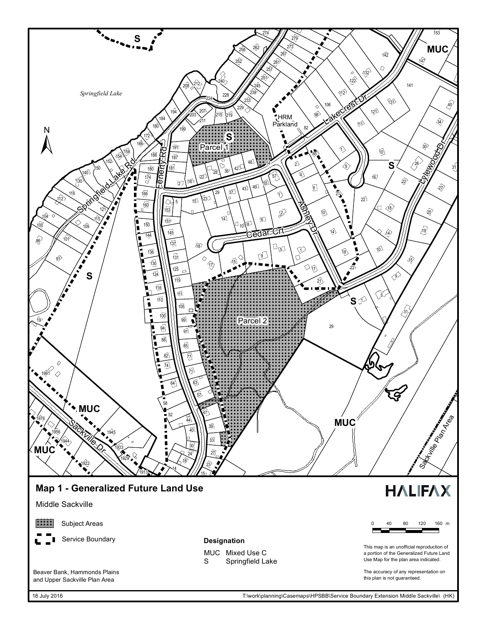